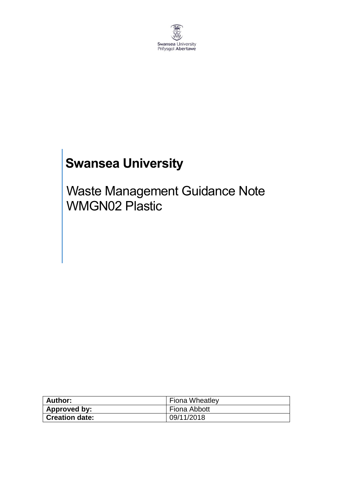

# **Swansea University**

## Waste Management Guidance Note WMGN02 Plastic

| <b>Author:</b>        | Fiona Wheatley |
|-----------------------|----------------|
| Approved by:          | Fiona Abbott   |
| <b>Creation date:</b> | 09/11/2018     |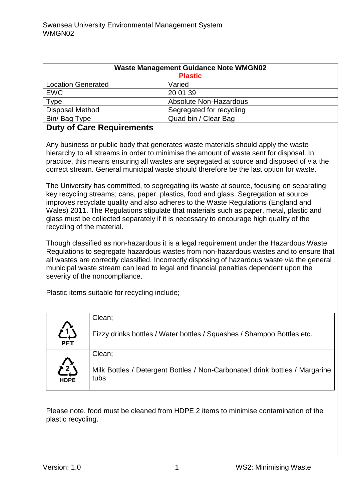| <b>Waste Management Guidance Note WMGN02</b> |                          |  |
|----------------------------------------------|--------------------------|--|
| <b>Plastic</b>                               |                          |  |
| <b>Location Generated</b>                    | Varied                   |  |
| <b>EWC</b>                                   | 20 01 39                 |  |
| <b>Type</b>                                  | Absolute Non-Hazardous   |  |
| <b>Disposal Method</b>                       | Segregated for recycling |  |
| Bin/Bag Type                                 | Quad bin / Clear Bag     |  |
| Duby of Caro Dominamonto                     |                          |  |

#### **Duty of Care Requirements**

Any business or public body that generates waste materials should apply the waste hierarchy to all streams in order to minimise the amount of waste sent for disposal. In practice, this means ensuring all wastes are segregated at source and disposed of via the correct stream. General municipal waste should therefore be the last option for waste.

The University has committed, to segregating its waste at source, focusing on separating key recycling streams; cans, paper, plastics, food and glass. Segregation at source improves recyclate quality and also adheres to the Waste Regulations (England and Wales) 2011. The Regulations stipulate that materials such as paper, metal, plastic and glass must be collected separately if it is necessary to encourage high quality of the recycling of the material.

Though classified as non-hazardous it is a legal requirement under the Hazardous Waste Regulations to segregate hazardous wastes from non-hazardous wastes and to ensure that all wastes are correctly classified. Incorrectly disposing of hazardous waste via the general municipal waste stream can lead to legal and financial penalties dependent upon the severity of the noncompliance.

Plastic items suitable for recycling include;

|                                    | Clean;                                                                              |
|------------------------------------|-------------------------------------------------------------------------------------|
| <b>PET</b>                         | Fizzy drinks bottles / Water bottles / Squashes / Shampoo Bottles etc.              |
|                                    | Clean;                                                                              |
| $\sum_{\mathbf{L}}$<br><b>HDPE</b> | Milk Bottles / Detergent Bottles / Non-Carbonated drink bottles / Margarine<br>tubs |

Please note, food must be cleaned from HDPE 2 items to minimise contamination of the plastic recycling.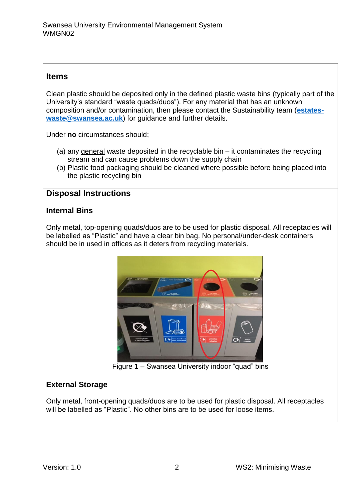#### **Items**

Clean plastic should be deposited only in the defined plastic waste bins (typically part of the University's standard "waste quads/duos"). For any material that has an unknown composition and/or contamination, then please contact the Sustainability team (**[estates](mailto:estates-waste@swansea.ac.uk)[waste@swansea.ac.uk](mailto:estates-waste@swansea.ac.uk)**) for guidance and further details.

Under **no** circumstances should;

- (a) any general waste deposited in the recyclable bin it contaminates the recycling stream and can cause problems down the supply chain
- (b) Plastic food packaging should be cleaned where possible before being placed into the plastic recycling bin

## **Disposal Instructions**

#### **Internal Bins**

Only metal, top-opening quads/duos are to be used for plastic disposal. All receptacles will be labelled as "Plastic" and have a clear bin bag. No personal/under-desk containers should be in used in offices as it deters from recycling materials.



Figure 1 – Swansea University indoor "quad" bins

## **External Storage**

Only metal, front-opening quads/duos are to be used for plastic disposal. All receptacles will be labelled as "Plastic". No other bins are to be used for loose items.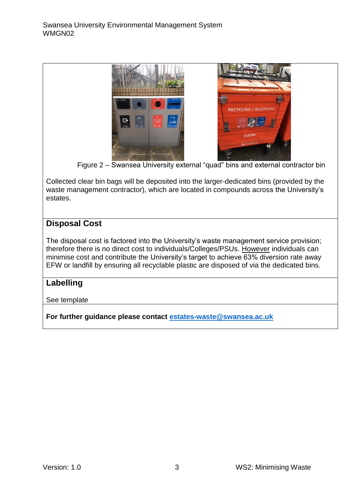

Figure 2 – Swansea University external "quad" bins and external contractor bin

Collected clear bin bags will be deposited into the larger-dedicated bins (provided by the waste management contractor), which are located in compounds across the University's estates.

## **Disposal Cost**

The disposal cost is factored into the University's waste management service provision; therefore there is no direct cost to individuals/Colleges/PSUs. However individuals can minimise cost and contribute the University's target to achieve 63% diversion rate away EFW or landfill by ensuring all recyclable plastic are disposed of via the dedicated bins.

## **Labelling**

See template

**For further guidance please contact [estates-waste@swansea.ac.uk](mailto:estates-waste@swansea.ac.uk)**